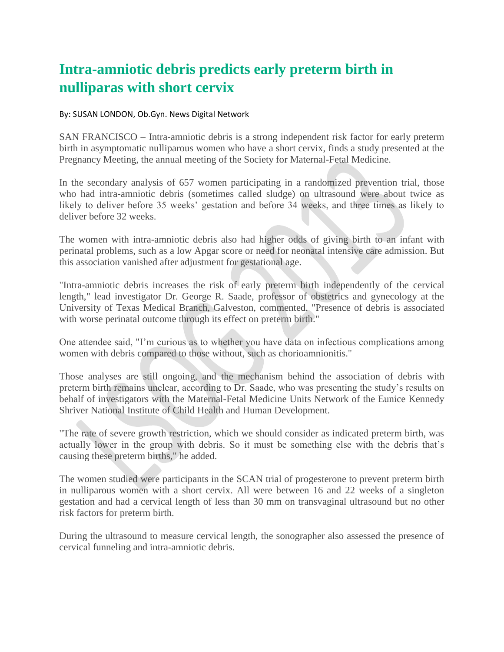## **Intra-amniotic debris predicts early preterm birth in nulliparas with short cervix**

## By: SUSAN LONDON, Ob.Gyn. News Digital Network

SAN FRANCISCO – Intra-amniotic debris is a strong independent risk factor for early preterm birth in asymptomatic nulliparous women who have a short cervix, finds a study presented at the Pregnancy Meeting, the annual meeting of the Society for Maternal-Fetal Medicine.

In the secondary analysis of 657 women participating in a randomized prevention trial, those who had intra-amniotic debris (sometimes called sludge) on ultrasound were about twice as likely to deliver before 35 weeks' gestation and before 34 weeks, and three times as likely to deliver before 32 weeks.

The women with intra-amniotic debris also had higher odds of giving birth to an infant with perinatal problems, such as a low Apgar score or need for neonatal intensive care admission. But this association vanished after adjustment for gestational age.

"Intra-amniotic debris increases the risk of early preterm birth independently of the cervical length," lead investigator Dr. George R. Saade, professor of obstetrics and gynecology at the University of Texas Medical Branch, Galveston, commented. "Presence of debris is associated with worse perinatal outcome through its effect on preterm birth."

One attendee said, "I'm curious as to whether you have data on infectious complications among women with debris compared to those without, such as chorioamnionitis."

Those analyses are still ongoing, and the mechanism behind the association of debris with preterm birth remains unclear, according to Dr. Saade, who was presenting the study's results on behalf of investigators with the Maternal-Fetal Medicine Units Network of the Eunice Kennedy Shriver National Institute of Child Health and Human Development.

"The rate of severe growth restriction, which we should consider as indicated preterm birth, was actually lower in the group with debris. So it must be something else with the debris that's causing these preterm births," he added.

The women studied were participants in the SCAN trial of progesterone to prevent preterm birth in nulliparous women with a short cervix. All were between 16 and 22 weeks of a singleton gestation and had a cervical length of less than 30 mm on transvaginal ultrasound but no other risk factors for preterm birth.

During the ultrasound to measure cervical length, the sonographer also assessed the presence of cervical funneling and intra-amniotic debris.